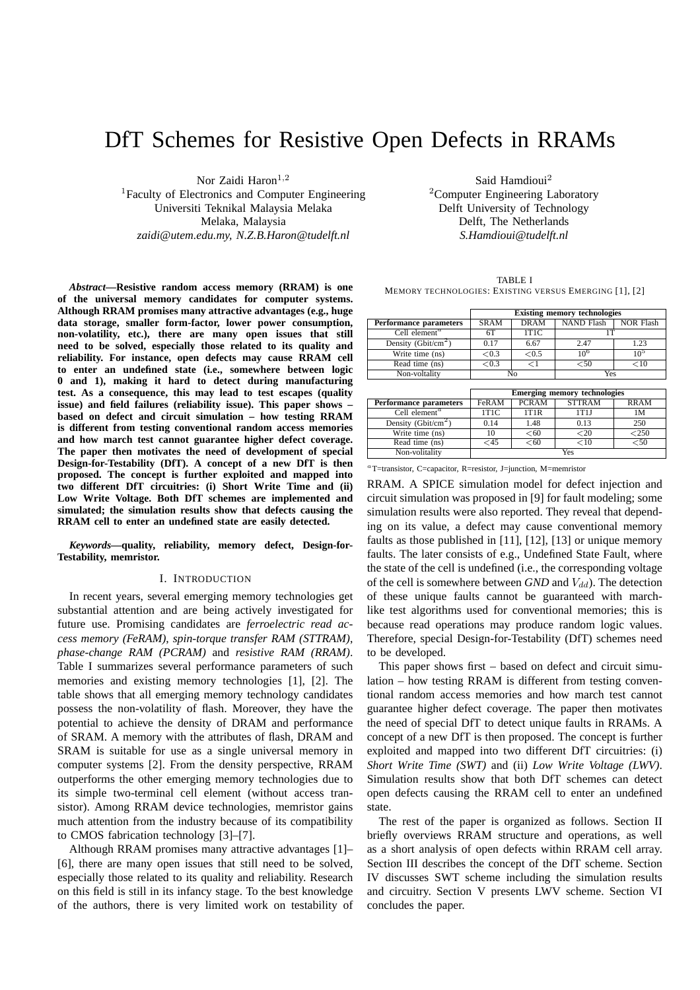# DfT Schemes for Resistive Open Defects in RRAMs

Nor Zaidi Haron $^{1,2}$ <sup>1</sup>Faculty of Electronics and Computer Engineering Universiti Teknikal Malaysia Melaka Melaka, Malaysia *zaidi@utem.edu.my, N.Z.B.Haron@tudelft.nl*

*Abstract***—Resistive random access memory (RRAM) is one of the universal memory candidates for computer systems. Although RRAM promises many attractive advantages (e.g., huge data storage, smaller form-factor, lower power consumption, non-volatility, etc.), there are many open issues that still need to be solved, especially those related to its quality and reliability. For instance, open defects may cause RRAM cell to enter an undefined state (i.e., somewhere between logic 0 and 1), making it hard to detect during manufacturing test. As a consequence, this may lead to test escapes (quality issue) and field failures (reliability issue). This paper shows – based on defect and circuit simulation – how testing RRAM is different from testing conventional random access memories and how march test cannot guarantee higher defect coverage. The paper then motivates the need of development of special Design-for-Testability (DfT). A concept of a new DfT is then proposed. The concept is further exploited and mapped into two different DfT circuitries: (i) Short Write Time and (ii) Low Write Voltage. Both DfT schemes are implemented and simulated; the simulation results show that defects causing the RRAM cell to enter an undefined state are easily detected.**

*Keywords***—quality, reliability, memory defect, Design-for-Testability, memristor.**

#### I. INTRODUCTION

In recent years, several emerging memory technologies get substantial attention and are being actively investigated for future use. Promising candidates are *ferroelectric read access memory (FeRAM)*, *spin-torque transfer RAM (STTRAM)*, *phase-change RAM (PCRAM)* and *resistive RAM (RRAM)*. Table I summarizes several performance parameters of such memories and existing memory technologies [1], [2]. The table shows that all emerging memory technology candidates possess the non-volatility of flash. Moreover, they have the potential to achieve the density of DRAM and performance of SRAM. A memory with the attributes of flash, DRAM and SRAM is suitable for use as a single universal memory in computer systems [2]. From the density perspective, RRAM outperforms the other emerging memory technologies due to its simple two-terminal cell element (without access transistor). Among RRAM device technologies, memristor gains much attention from the industry because of its compatibility to CMOS fabrication technology [3]–[7].

Although RRAM promises many attractive advantages [1]– [6], there are many open issues that still need to be solved, especially those related to its quality and reliability. Research on this field is still in its infancy stage. To the best knowledge of the authors, there is very limited work on testability of

Said Hamdioui<sup>2</sup> <sup>2</sup>Computer Engineering Laboratory Delft University of Technology Delft, The Netherlands *S.Hamdioui@tudelft.nl*

TABLE I MEMORY TECHNOLOGIES: EXISTING VERSUS EMERGING [1], [2]

|                                        | <b>Existing memory technologies</b> |             |            |           |  |
|----------------------------------------|-------------------------------------|-------------|------------|-----------|--|
| Performance parameters                 | <b>SRAM</b>                         | <b>DRAM</b> | NAND Flash | NOR Flash |  |
| Cell element <sup><math>a</math></sup> | 6T                                  | 1T1C        |            |           |  |
| Density (Gbit/cm <sup>2</sup> )        | 0.17                                | 6.67        | 2.47       | 1.23      |  |
| Write time (ns)                        | ${<}0.3$                            | < 0.5       | $10^{6}$   | $10^{5}$  |  |
| Read time (ns)                         | ${<}0.3$                            |             | ⊂50        | ${<}10$   |  |
| Non-voltality                          | Nο                                  |             | Yes        |           |  |

|                                        | <b>Emerging memory technologies</b> |              |               |              |  |
|----------------------------------------|-------------------------------------|--------------|---------------|--------------|--|
| Performance parameters                 | FeRAM                               | <b>PCRAM</b> | <b>STTRAM</b> | <b>RRAM</b>  |  |
| Cell element <sup><math>a</math></sup> | 1T1C                                | 1T1R         | 1T1I          | 1M           |  |
| Density (Gbit/cm <sup>2</sup> )        | 0.14                                | 1.48         | 0.13          | 250          |  |
| Write time (ns)                        | 10                                  | <60          | ${<}20$       | $<$ 250 $\,$ |  |
| Read time (ns)                         | ⊂45                                 | < 60         | $<$ 10        | $<$ 50       |  |
| Non-volitality                         | Yes                                 |              |               |              |  |

<sup>a</sup>T=transistor, C=capacitor, R=resistor, J=junction, M=memristor

RRAM. A SPICE simulation model for defect injection and circuit simulation was proposed in [9] for fault modeling; some simulation results were also reported. They reveal that depending on its value, a defect may cause conventional memory faults as those published in [11], [12], [13] or unique memory faults. The later consists of e.g., Undefined State Fault, where the state of the cell is undefined (i.e., the corresponding voltage of the cell is somewhere between  $GND$  and  $V_{dd}$ ). The detection of these unique faults cannot be guaranteed with marchlike test algorithms used for conventional memories; this is because read operations may produce random logic values. Therefore, special Design-for-Testability (DfT) schemes need to be developed.

This paper shows first – based on defect and circuit simulation – how testing RRAM is different from testing conventional random access memories and how march test cannot guarantee higher defect coverage. The paper then motivates the need of special DfT to detect unique faults in RRAMs. A concept of a new DfT is then proposed. The concept is further exploited and mapped into two different DfT circuitries: (i) *Short Write Time (SWT)* and (ii) *Low Write Voltage (LWV)*. Simulation results show that both DfT schemes can detect open defects causing the RRAM cell to enter an undefined state.

The rest of the paper is organized as follows. Section II briefly overviews RRAM structure and operations, as well as a short analysis of open defects within RRAM cell array. Section III describes the concept of the DfT scheme. Section IV discusses SWT scheme including the simulation results and circuitry. Section V presents LWV scheme. Section VI concludes the paper.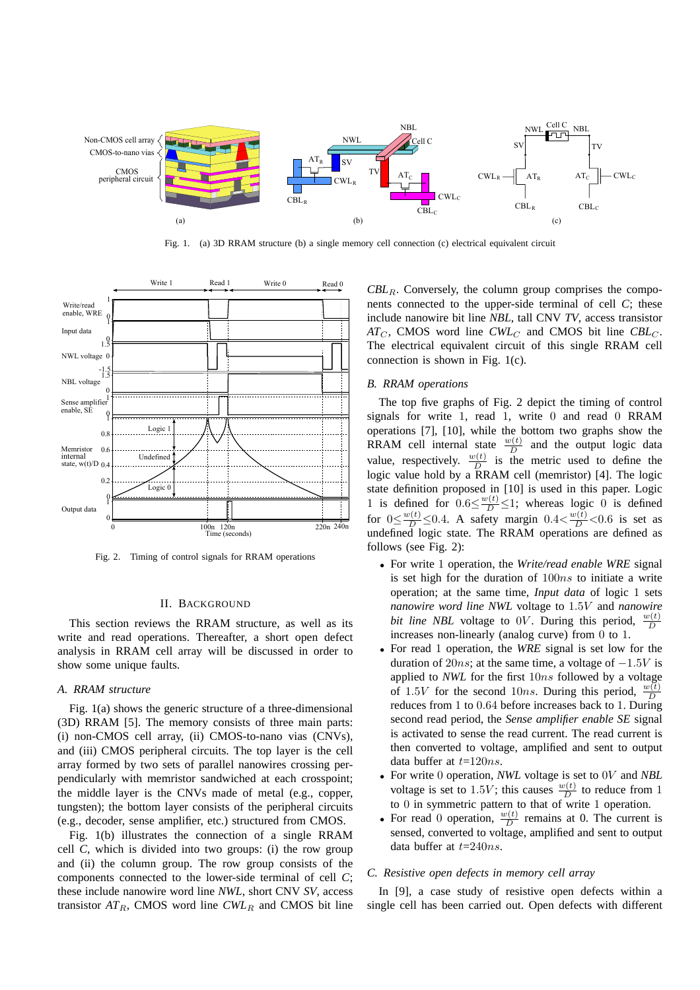

Fig. 1. (a) 3D RRAM structure (b) a single memory cell connection (c) electrical equivalent circuit



Fig. 2. Timing of control signals for RRAM operations

# II. BACKGROUND

This section reviews the RRAM structure, as well as its write and read operations. Thereafter, a short open defect analysis in RRAM cell array will be discussed in order to show some unique faults.

#### *A. RRAM structure*

Fig. 1(a) shows the generic structure of a three-dimensional (3D) RRAM [5]. The memory consists of three main parts: (i) non-CMOS cell array, (ii) CMOS-to-nano vias (CNVs), and (iii) CMOS peripheral circuits. The top layer is the cell array formed by two sets of parallel nanowires crossing perpendicularly with memristor sandwiched at each crosspoint; the middle layer is the CNVs made of metal (e.g., copper, tungsten); the bottom layer consists of the peripheral circuits (e.g., decoder, sense amplifier, etc.) structured from CMOS.

Fig. 1(b) illustrates the connection of a single RRAM cell *C*, which is divided into two groups: (i) the row group and (ii) the column group. The row group consists of the components connected to the lower-side terminal of cell *C*; these include nanowire word line *NWL*, short CNV *SV*, access transistor  $AT_R$ , CMOS word line  $CWL_R$  and CMOS bit line

 $CBL<sub>R</sub>$ . Conversely, the column group comprises the components connected to the upper-side terminal of cell *C*; these include nanowire bit line *NBL*, tall CNV *TV*, access transistor  $AT_C$ , CMOS word line *CWL<sub>C</sub>* and CMOS bit line *CBL<sub>C</sub>*. The electrical equivalent circuit of this single RRAM cell connection is shown in Fig. 1(c).

# *B. RRAM operations*

The top five graphs of Fig. 2 depict the timing of control signals for write 1, read 1, write 0 and read 0 RRAM operations [7], [10], while the bottom two graphs show the RRAM cell internal state  $\frac{w(t)}{D}$  and the output logic data value, respectively.  $\frac{w(t)}{D}$  is the metric used to define the logic value hold by a RRAM cell (memristor) [4]. The logic state definition proposed in [10] is used in this paper. Logic 1 is defined for  $0.6 \leq \frac{w(t)}{D} \leq 1$ ; whereas logic 0 is defined for  $0 \le \frac{w(t)}{D} \le 0.4$ . A safety margin  $0.4 \lt \frac{w(t)}{D} \lt 0.6$  is set as undefined logic state. The RRAM operations are defined as follows (see Fig. 2):

- For write 1 operation, the *Write/read enable WRE* signal is set high for the duration of  $100ns$  to initiate a write operation; at the same time, *Input data* of logic 1 sets *nanowire word line NWL* voltage to 1.5V and *nanowire bit line NBL* voltage to 0V. During this period,  $\frac{w(t)}{D}$ increases non-linearly (analog curve) from 0 to 1.
- For read 1 operation, the *WRE* signal is set low for the duration of 20ns; at the same time, a voltage of  $-1.5V$  is applied to *NWL* for the first 10ns followed by a voltage of 1.5V for the second 10ns. During this period,  $\frac{w(t)}{D}$ reduces from 1 to 0.64 before increases back to 1. During second read period, the *Sense amplifier enable SE* signal is activated to sense the read current. The read current is then converted to voltage, amplified and sent to output data buffer at  $t=120ns$ .
- For write 0 operation, *NWL* voltage is set to 0V and *NBL* voltage is set to 1.5V; this causes  $\frac{w(t)}{D}$  to reduce from 1 to 0 in symmetric pattern to that of write 1 operation.
- For read 0 operation,  $\frac{w(t)}{D}$  remains at 0. The current is sensed, converted to voltage, amplified and sent to output data buffer at  $t=240ns$ .

#### *C. Resistive open defects in memory cell array*

In [9], a case study of resistive open defects within a single cell has been carried out. Open defects with different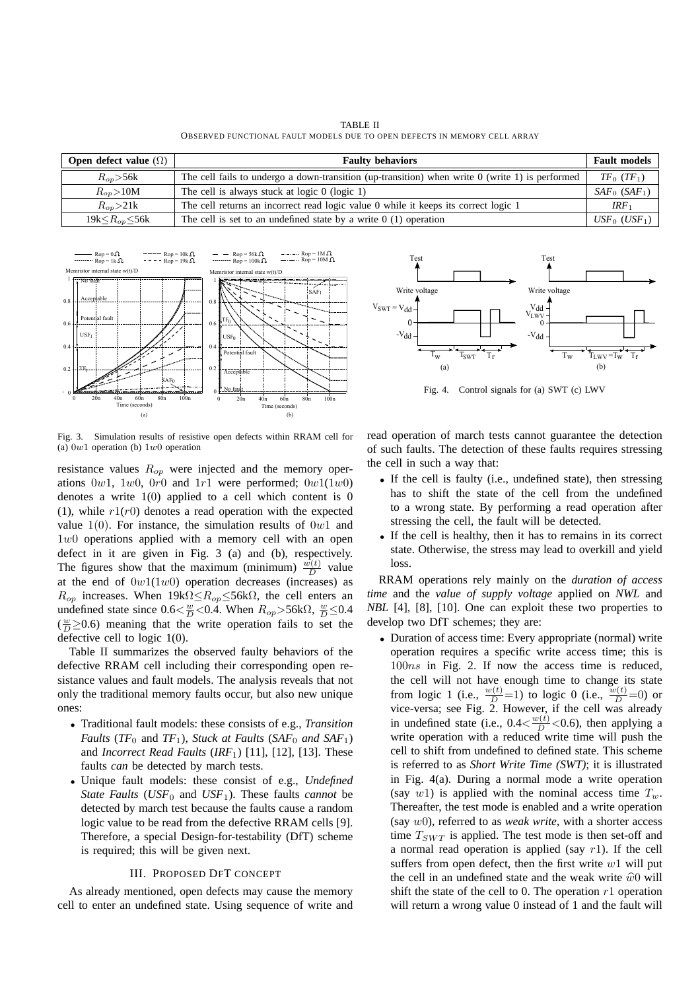TABLE II OBSERVED FUNCTIONAL FAULT MODELS DUE TO OPEN DEFECTS IN MEMORY CELL ARRAY

| <b>Open defect value</b> $(\Omega)$ | <b>Faulty behaviors</b>                                                                           | <b>Fault models</b>         |
|-------------------------------------|---------------------------------------------------------------------------------------------------|-----------------------------|
| $R_{on}$ > 56 $k$                   | The cell fails to undergo a down-transition (up-transition) when write $0$ (write 1) is performed | $TF_0(TF_1)$                |
| $R_{\alpha p} > 10M$                | The cell is always stuck at logic $0$ (logic 1)                                                   | $SAF_0$ (SAF <sub>1</sub> ) |
| $R_{on} > 21k$                      | The cell returns an incorrect read logic value 0 while it keeps its correct logic 1               | IRF <sub>1</sub>            |
| 19k $\leq R_{op}$ $\leq$ 56k        | The cell is set to an undefined state by a write $0(1)$ operation                                 | $USF_0$ (USF <sub>1</sub> ) |



Fig. 3. Simulation results of resistive open defects within RRAM cell for (a)  $0w1$  operation (b)  $1w0$  operation

resistance values  $R_{op}$  were injected and the memory operations  $0w1$ ,  $1w0$ ,  $0r0$  and  $1r1$  were performed;  $0w1(1w0)$ denotes a write  $1(0)$  applied to a cell which content is 0 (1), while  $r1(r0)$  denotes a read operation with the expected value  $1(0)$ . For instance, the simulation results of  $0w1$  and 1w0 operations applied with a memory cell with an open defect in it are given in Fig. 3 (a) and (b), respectively. The figures show that the maximum (minimum)  $\frac{w(t)}{D}$  value at the end of  $0w1(1w0)$  operation decreases (increases) as  $R_{op}$  increases. When  $19k\Omega \leq R_{op} \leq 56k\Omega$ , the cell enters an undefined state since  $0.6 \leq \frac{w}{D} < 0.4$ . When  $R_{op} > 56 \text{k}\Omega$ ,  $\frac{w}{D} \leq 0.4$  $(\frac{w}{D} \ge 0.6)$  meaning that the write operation fails to set the defective cell to logic 1(0).

Table II summarizes the observed faulty behaviors of the defective RRAM cell including their corresponding open resistance values and fault models. The analysis reveals that not only the traditional memory faults occur, but also new unique ones:

- Traditional fault models: these consists of e.g., *Transition Faults* ( $TF_0$  and  $TF_1$ ), *Stuck at Faults* ( $SAF_0$  *and*  $SAF_1$ *)* and *Incorrect Read Faults* (*IRF*1) [11], [12], [13]. These faults *can* be detected by march tests.
- Unique fault models: these consist of e.g., *Undefined State Faults* ( $USF_0$  and  $USF_1$ ). These faults *cannot* be detected by march test because the faults cause a random logic value to be read from the defective RRAM cells [9]. Therefore, a special Design-for-testability (DfT) scheme is required; this will be given next.

#### III. PROPOSED DFT CONCEPT

As already mentioned, open defects may cause the memory cell to enter an undefined state. Using sequence of write and



Fig. 4. Control signals for (a) SWT (c) LWV

read operation of march tests cannot guarantee the detection of such faults. The detection of these faults requires stressing the cell in such a way that:

- If the cell is faulty (i.e., undefined state), then stressing has to shift the state of the cell from the undefined to a wrong state. By performing a read operation after stressing the cell, the fault will be detected.
- If the cell is healthy, then it has to remains in its correct state. Otherwise, the stress may lead to overkill and yield loss.

RRAM operations rely mainly on the *duration of access time* and the *value of supply voltage* applied on *NWL* and *NBL* [4], [8], [10]. One can exploit these two properties to develop two DfT schemes; they are:

• Duration of access time: Every appropriate (normal) write operation requires a specific write access time; this is 100ns in Fig. 2. If now the access time is reduced, the cell will not have enough time to change its state from logic 1 (i.e.,  $\frac{w(t)}{D} = 1$ ) to logic 0 (i.e.,  $\frac{w(t)}{D} = 0$ ) or vice-versa; see Fig. 2. However, if the cell was already in undefined state (i.e.,  $0.4 \langle \frac{w(t)}{D} \rangle < 0.6$ ), then applying a write operation with a reduced write time will push the cell to shift from undefined to defined state. This scheme is referred to as *Short Write Time (SWT)*; it is illustrated in Fig. 4(a). During a normal mode a write operation (say w1) is applied with the nominal access time  $T_w$ . Thereafter, the test mode is enabled and a write operation (say w0), referred to as *weak write*, with a shorter access time  $T_{SWT}$  is applied. The test mode is then set-off and a normal read operation is applied (say  $r1$ ). If the cell suffers from open defect, then the first write  $w1$  will put the cell in an undefined state and the weak write  $\hat{w}0$  will shift the state of the cell to 0. The operation  $r_1$  operation will return a wrong value 0 instead of 1 and the fault will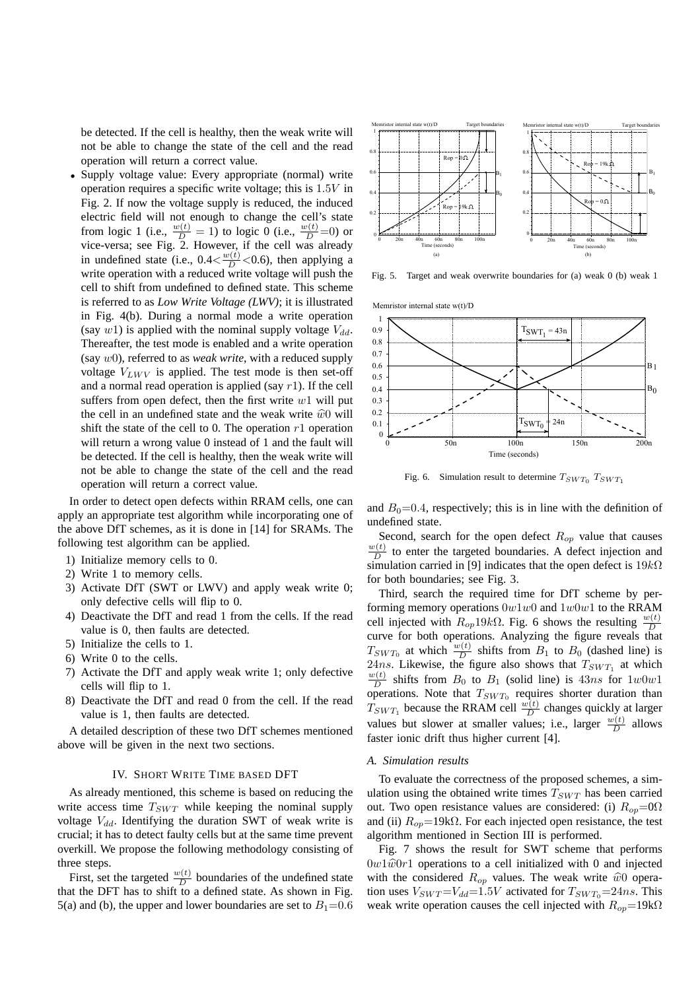be detected. If the cell is healthy, then the weak write will not be able to change the state of the cell and the read operation will return a correct value.

• Supply voltage value: Every appropriate (normal) write operation requires a specific write voltage; this is 1.5V in Fig. 2. If now the voltage supply is reduced, the induced electric field will not enough to change the cell's state from logic 1 (i.e.,  $\frac{w(t)}{D} = 1$ ) to logic 0 (i.e.,  $\frac{w(t)}{D} = 0$ ) or vice-versa; see Fig. 2. However, if the cell was already in undefined state (i.e.,  $0.4 \langle \frac{w(t)}{D} \rangle < 0.6$ ), then applying a write operation with a reduced write voltage will push the cell to shift from undefined to defined state. This scheme is referred to as *Low Write Voltage (LWV)*; it is illustrated in Fig. 4(b). During a normal mode a write operation (say w1) is applied with the nominal supply voltage  $V_{dd}$ . Thereafter, the test mode is enabled and a write operation (say w0), referred to as *weak write*, with a reduced supply voltage  $V_{LWV}$  is applied. The test mode is then set-off and a normal read operation is applied (say  $r1$ ). If the cell suffers from open defect, then the first write  $w1$  will put the cell in an undefined state and the weak write  $\hat{w}0$  will shift the state of the cell to 0. The operation  $r_1$  operation will return a wrong value 0 instead of 1 and the fault will be detected. If the cell is healthy, then the weak write will not be able to change the state of the cell and the read operation will return a correct value.

In order to detect open defects within RRAM cells, one can apply an appropriate test algorithm while incorporating one of the above DfT schemes, as it is done in [14] for SRAMs. The following test algorithm can be applied.

- 1) Initialize memory cells to 0.
- 2) Write 1 to memory cells.
- 3) Activate DfT (SWT or LWV) and apply weak write 0; only defective cells will flip to 0.
- 4) Deactivate the DfT and read 1 from the cells. If the read value is 0, then faults are detected.
- 5) Initialize the cells to 1.
- 6) Write 0 to the cells.
- 7) Activate the DfT and apply weak write 1; only defective cells will flip to 1.
- 8) Deactivate the DfT and read 0 from the cell. If the read value is 1, then faults are detected.

A detailed description of these two DfT schemes mentioned above will be given in the next two sections.

#### IV. SHORT WRITE TIME BASED DFT

As already mentioned, this scheme is based on reducing the write access time  $T_{SWT}$  while keeping the nominal supply voltage  $V_{dd}$ . Identifying the duration SWT of weak write is crucial; it has to detect faulty cells but at the same time prevent overkill. We propose the following methodology consisting of three steps.

First, set the targeted  $\frac{w(t)}{D}$  boundaries of the undefined state that the DFT has to shift to a defined state. As shown in Fig. 5(a) and (b), the upper and lower boundaries are set to  $B_1=0.6$ 



Fig. 5. Target and weak overwrite boundaries for (a) weak 0 (b) weak 1



Fig. 6. Simulation result to determine  $T_{SWT_0}$   $T_{SWT_1}$ 

and  $B_0=0.4$ , respectively; this is in line with the definition of undefined state.

Second, search for the open defect  $R_{op}$  value that causes  $w(t)$  $\frac{\partial (t)}{\partial t}$  to enter the targeted boundaries. A defect injection and simulation carried in [9] indicates that the open defect is  $19k\Omega$ for both boundaries; see Fig. 3.

Third, search the required time for DfT scheme by performing memory operations  $0w1w0$  and  $1w0w1$  to the RRAM cell injected with  $R_{op}19k\Omega$ . Fig. 6 shows the resulting  $\frac{w(t)}{D}$ curve for both operations. Analyzing the figure reveals that  $T_{SWT_0}$  at which  $\frac{w(t)}{D}$  shifts from  $B_1$  to  $B_0$  (dashed line) is 24ns. Likewise, the figure also shows that  $T_{SWT_1}$  at which  $w(t)$  $\frac{D(t)}{D}$  shifts from  $B_0$  to  $B_1$  (solid line) is 43ns for  $1w0w1$ operations. Note that  $T_{SWT_0}$  requires shorter duration than  $T_{SWT_1}$  because the RRAM cell  $\frac{w(t)}{D}$  changes quickly at larger values but slower at smaller values; i.e., larger  $\frac{w(t)}{D}$  allows faster ionic drift thus higher current [4].

#### *A. Simulation results*

To evaluate the correctness of the proposed schemes, a simulation using the obtained write times  $T_{SWT}$  has been carried out. Two open resistance values are considered: (i)  $R_{op} = 0$ and (ii)  $R_{op}$ =19k $\Omega$ . For each injected open resistance, the test algorithm mentioned in Section III is performed.

Fig. 7 shows the result for SWT scheme that performs  $0w1\hat{w}0r1$  operations to a cell initialized with 0 and injected with the considered  $R_{op}$  values. The weak write  $\hat{w}0$  operation uses  $V_{SWT} = V_{dd} = 1.5V$  activated for  $T_{SWT_0} = 24ns$ . This weak write operation causes the cell injected with  $R_{op}$ =19k $\Omega$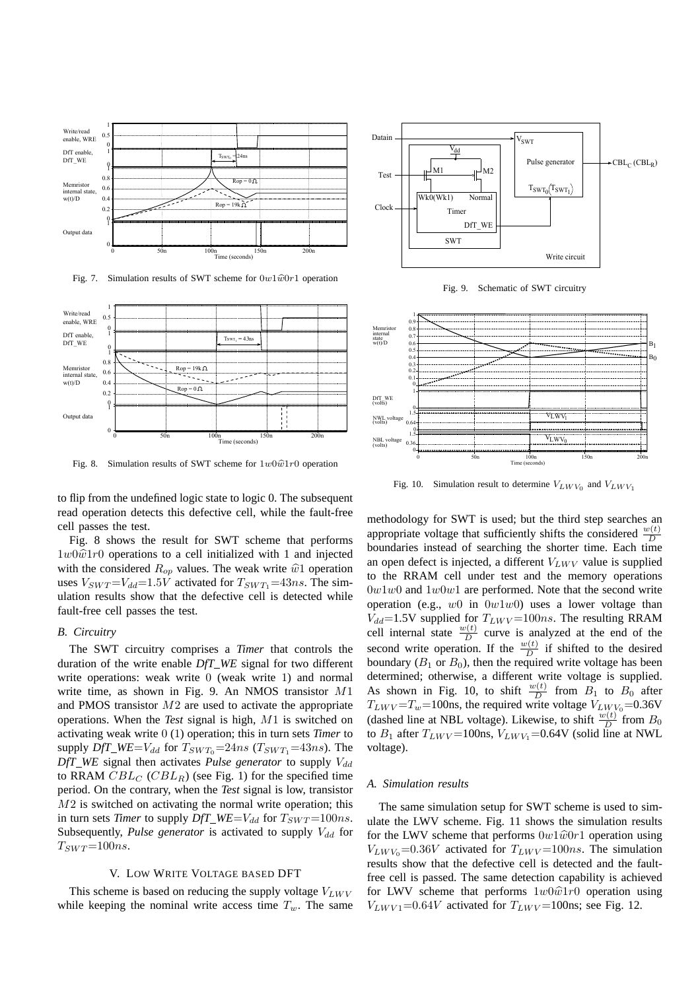

Fig. 7. Simulation results of SWT scheme for  $0w1\hat{w}0r1$  operation



Fig. 8. Simulation results of SWT scheme for  $1w0\hat{w}1r0$  operation

to flip from the undefined logic state to logic 0. The subsequent read operation detects this defective cell, while the fault-free cell passes the test.

Fig. 8 shows the result for SWT scheme that performs  $1w0\hat{w}1r0$  operations to a cell initialized with 1 and injected with the considered  $R_{op}$  values. The weak write  $\hat{w}$ 1 operation uses  $V_{SWT} = V_{dd} = 1.5V$  activated for  $T_{SWT_1} = 43ns$ . The simulation results show that the defective cell is detected while fault-free cell passes the test.

#### *B. Circuitry*

The SWT circuitry comprises a *Timer* that controls the duration of the write enable *DfT WE* signal for two different write operations: weak write 0 (weak write 1) and normal write time, as shown in Fig. 9. An NMOS transistor M1 and PMOS transistor  $M2$  are used to activate the appropriate operations. When the *Test* signal is high, M1 is switched on activating weak write 0 (1) operation; this in turn sets *Timer* to supply *DfT\_WE=V<sub>dd</sub>* for  $T_{SWT_0}$ =24ns ( $T_{SWT_1}$ =43ns). The  $DfT$  *WE* signal then activates *Pulse generator* to supply  $V_{dd}$ to RRAM  $CBL_C$  (CBL<sub>R</sub>) (see Fig. 1) for the specified time period. On the contrary, when the *Test* signal is low, transistor  $M2$  is switched on activating the normal write operation; this in turn sets *Timer* to supply *DfT\_WE=V<sub>dd</sub>* for  $T_{SWT}$ =100*ns*. Subsequently, *Pulse generator* is activated to supply  $V_{dd}$  for  $T_{SWT} = 100ns$ .

#### V. LOW WRITE VOLTAGE BASED DFT

This scheme is based on reducing the supply voltage  $V_{LWV}$ while keeping the nominal write access time  $T_w$ . The same



Fig. 9. Schematic of SWT circuitry



Fig. 10. Simulation result to determine  $V_{LW V_0}$  and  $V_{LW V_1}$ 

methodology for SWT is used; but the third step searches an appropriate voltage that sufficiently shifts the considered  $\frac{w(t)}{D}$ D boundaries instead of searching the shorter time. Each time an open defect is injected, a different  $V_{LWV}$  value is supplied to the RRAM cell under test and the memory operations  $0w1w0$  and  $1w0w1$  are performed. Note that the second write operation (e.g.,  $w0$  in  $0w1w0$ ) uses a lower voltage than  $V_{dd}$ =1.5V supplied for  $T_{LWV}$ =100ns. The resulting RRAM cell internal state  $\frac{w(t)}{D}$  curve is analyzed at the end of the second write operation. If the  $\frac{w(t)}{D}$  if shifted to the desired boundary ( $B_1$  or  $B_0$ ), then the required write voltage has been determined; otherwise, a different write voltage is supplied. As shown in Fig. 10, to shift  $\frac{w(t)}{D}$  from  $B_1$  to  $B_0$  after  $T_{LWV} = T_w = 100$ ns, the required write voltage  $V_{LWV_0} = 0.36$ V (dashed line at NBL voltage). Likewise, to shift  $\frac{w(t)}{D}$  from  $B_0$ to  $B_1$  after  $T_{LWV}$  = 100ns,  $V_{LWV_1}$  = 0.64V (solid line at NWL voltage).

# *A. Simulation results*

The same simulation setup for SWT scheme is used to simulate the LWV scheme. Fig. 11 shows the simulation results for the LWV scheme that performs  $0w1\hat{w}0r1$  operation using  $V_{LW V_0}$ =0.36V activated for  $T_{LW V}$ =100ns. The simulation results show that the defective cell is detected and the faultfree cell is passed. The same detection capability is achieved for LWV scheme that performs  $1w0\hat{w}1r0$  operation using  $V_{LWVI}$ =0.64V activated for  $T_{LWV}$ =100ns; see Fig. 12.